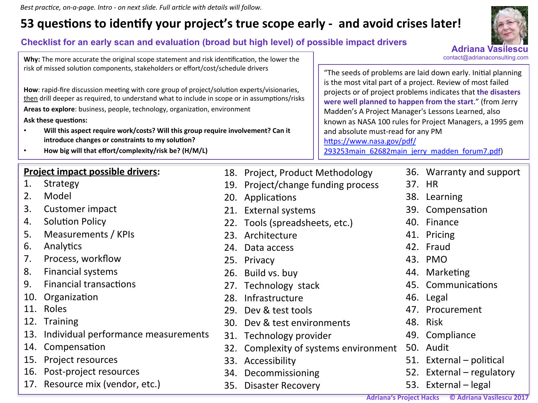Best practice, on-a-page. Intro - on next slide. Full article with details will follow.

## **53 questions to identify your project's true scope early - and avoid crises later!**

### **Checklist for an early scan and evaluation (broad but high level) of possible impact drivers**

**Adriana Vasile** 

contact@adrianaconsulting.com

**Why:** The more accurate the original scope statement and risk identification, the lower the risk of missed solution components, stakeholders or effort/cost/schedule drivers

How: rapid-fire discussion meeting with core group of project/solution experts/visionaries, then drill deeper as required, to understand what to include in scope or in assumptions/risks Areas to explore: business, people, technology, organization, environment

**Ask these questions:** 

- Will this aspect require work/costs? Will this group require involvement? Can it introduce changes or constraints to my solution?
- **How big will that effort/complexity/risk be? (H/M/L)**

### **Project impact possible drivers:**

- 1. Strategy
- 2. Model
- 3. Customer impact
- 4. Solution Policy
- 5. Measurements / KPIs
- 6. Analytics
- 7. Process, workflow
- 8. Financial systems
- 9. Financial transactions
- 10. Organization
- 11. Roles
- 12. Training
- 13. Individual performance measurements
- 14. Compensation
- 15. Project resources
- 16. Post-project resources
- 17. Resource mix (vendor, etc.)

"The seeds of problems are laid down early. Initial planning is the most vital part of a project. Review of most failed projects or of project problems indicates that **the disasters were well planned to happen from the start."** (from Jerry Madden's A Project Manager's Lessons Learned, also known as NASA 100 rules for Project Managers, a 1995 gem and absolute must-read for any PM https://www.nasa.gov/pdf/ 293253main\_62682main\_jerry\_madden\_forum7.pdf)

- 18. Project, Product Methodology 19. Project/change funding process
- 20. Applications
- 21. External systems
- 22. Tools (spreadsheets, etc.)
- 23. Architecture
- 24. Data access
- 25. Privacy
- 26. Build vs. buy
- 27. Technology stack
- 28. Infrastructure
- 29. Dev & test tools
- 30. Dev & test environments
- 31. Technology provider
- 32. Complexity of systems environment
- 33. Accessibility
- 34. Decommissioning
- 35. Disaster Recovery

36. Warranty and support

- 37. HR
- 38. Learning
- 39. Compensation
- 40. Finance
- 41. Pricing
- 42. Fraud
- 43. PMO
- 44. Marketing
- 45. Communications
- 46. Legal
- 47. Procurement
- 48. Risk
- 49. Compliance
- 50. Audit
- 51. External  $-$  political
- 52. External regulatory
- 53. External legal